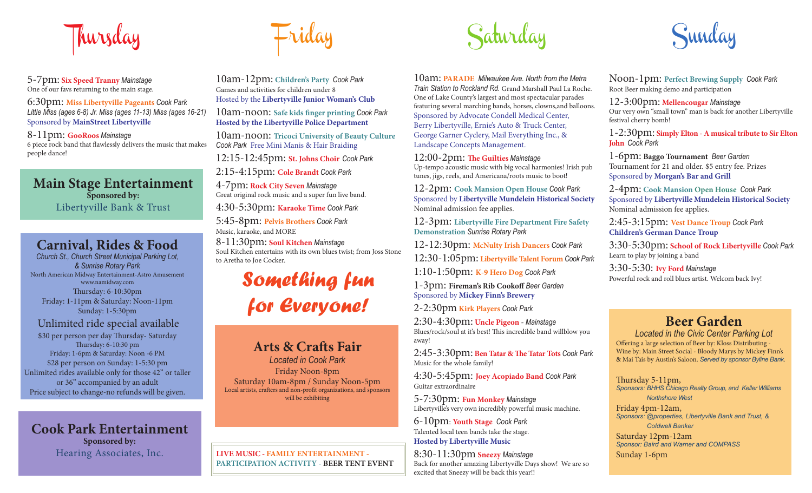

5-7pm: **Six Speed Tranny** *Mainstage* One of our favs returning to the main stage.

6:30pm: **Miss Libertyville Pageants** *Cook Park Little Miss (ages 6-8) Jr. Miss (ages 11-13) Miss (ages 16-21)* Sponsored by **MainStreet Libertyville**

8-11pm: **GooRoos** *Mainstage* 6 piece rock band that flawlessly delivers the music that makes people dance!

## **Main Stage Entertainment Sponsored by:** Libertyville Bank & Trust

## **Carnival, Rides & Food**

*Church St., Church Street Municipal Parking Lot, & Sunrise Rotary Park* North American Midway Entertainment-Astro Amusement www.namidway.com Thursday: 6-10:30pm Friday: 1-11pm & Saturday: Noon-11pm Sunday: 1-5:30pm

### Unlimited ride special available

\$30 per person per day Thursday-Saturday Thursday: 6-10:30 pm Friday: 1-6pm & Saturday: Noon -6 PM \$28 per person on Sunday: 1-5:30 pm Unlimited rides available only for those 42" or taller or 36" accompanied by an adult Price subject to change-no refunds will be given.

**Cook Park Entertainment Sponsored by:** Hearing Associates, Inc.



10am-12pm: **Children's Party** *Cook Park*  Games and activities for children under 8Hosted by the **Libertyville Junior Woman's Club** 

10am-noon: Safe kids finger printing Cook Park **Hosted by the Libertyville Police Department**

10am-noon: **Tricoci University of Beauty Culture**  *Cook Park* Free Mini Manis & Hair Braiding

12:15-12:45pm: **St. Johns Choir** *Cook Park*  2:15-4:15pm: **Cole Brandt** *Cook Park*

4-7pm: **Rock City Seven** *Mainstage* Great original rock music and a super fun live band.

4:30-5:30pm: **Karaoke Time** *Cook Park*

5:45-8pm: **Pelvis Brothers** *Cook Park* Music, karaoke, and MORE

8-11:30pm: **Soul Kitchen** *Mainstage* Soul Kitchen entertains with its own blues twist; from Joss Stone to Aretha to Joe Cocker.

*for Everyone!*

## Arts & Crafts Fair

*Located in Cook Park*Friday Noon-8pm Saturday 10am-8pm / Sunday Noon-5pm Local artists, crafters and non-profit organizations, and sponsors will be exhibiting

**LIVE MUSIC - FAMILY ENTERTAINMENT - PARTICIPATION ACTIVITY - BEER TENT EVENT**



10am: **PARADE** *Milwaukee Ave. North from the Metra Train Station to Rockland Rd.* Grand Marshall Paul La Roche. One of Lake County's largest and most spectacular parades featuring several marching bands, horses, clowns,and balloons. Sponsored by Advocate Condell Medical Center, Berry Libertyville, Ernie's Auto & Truck Center, George Garner Cyclery, Mail Everything Inc., & Landscape Concepts Management.

 $12{:}00\text{-}2\mathrm{pm}\text{:}$  The Guilties Mainstage Up-tempo acoustic music with big vocal harmonies! Irish pub tunes, jigs, reels, and Americana/roots music to boot!

12-2pm: **Cook Mansion Open House** *Cook Park* Sponsored by **Libertyville Mundelein Historical Society** Nominal admission fee applies.

12-3pm: **Libertyville Fire Department Fire Safety Demonstration** *Sunrise Rotary Park*

12-12:30pm: **McNulty Irish Dancers** *Cook Park* 

12:30-1:05pm: **Libertyville Talent Forum** *Cook Park*

1:10-1:50pm: **K-9 Hero Dog** *Cook Park*

1-3pm: **Fireman's Rib Cookoff** *Beer Garden* Sponsored by **Mickey Finn's Brewery**

2-2:30pm **Kirk Players** *Cook Park*

2:30-4:30pm: **Uncle Pigeon -** *Mainstage* Blues/rock/soul at it's best! This incredible band willblow you away!

2:45-3:30pm: Ben Tatar & The Tatar Tots Cook Park Music for the whole family!

4:30-5:45pm: **Joey Acopiado Band** *Cook Park* Guitar extraordinaire

5-7:30pm: **Fun Monkey** *Mainstage*  Libertyville's very own incredibly powerful music machine.

6-10pm: **Youth Stage** *Cook Park* Talented local teen bands take the stage. **Hosted by Libertyville Music**

8:30-11:30pm **Sneezy** *Mainstage* Back for another amazing Libertyville Days show! We are so excited that Sneezy will be back this year!!



Noon-1pm: **Perfect Brewing Supply** *Cook Park*  Root Beer making demo and participation

12-3:00pm: **Mellencougar** *Mainstage* Our very own "small town" man is back for another Libertyville festival cherry bomb!

1-2:30pm: **Simply Elton - A musical tribute to Sir Elton John** *Cook Park*

1-6pm: **Baggo Tournament** *Beer Garden* Tournament for 21 and older. \$5 entry fee. Prizes Sponsored by **Morgan's Bar and Grill**

2-4pm: **Cook Mansion Open House** *Cook Park*  Sponsored by **Libertyville Mundelein Historical Society** Nominal admission fee applies.

2:45-3:15pm: **Vest Dance Troup** *Cook Park* **Children's German Dance Troup**

3:30-5:30pm: **School of Rock Libertyville** *Cook Park* Learn to play by joining a band

3:30-5:30: Ivy Ford Mainstage<br>**Something fun** 1-3pm: Fireman's Rib Cookoff Beer Garden<br>Powerful rock and roll blues artist. Welcom back Ivy!

## **Beer Garden**

*Located in the Civic Center Parking Lot* Offering a large selection of Beer by: Kloss Distributing -Wine by: Main Street Social - Bloody Marys by Mickey Finn's & Mai Tais by Austin's Saloon. *Served by sponsor Byline Bank*.

Thursday 5-11pm, *Sponsors: BHHS Chicago Realty Group, and Keller Williams Northshore West* Friday 4pm-12am, *Sponsors: @properties, Libertyville Bank and Trust, & Coldwell Banker*Saturday 12pm-12am *Sponsor: Baird and Warner and COMPASS* Sunday 1-6pm